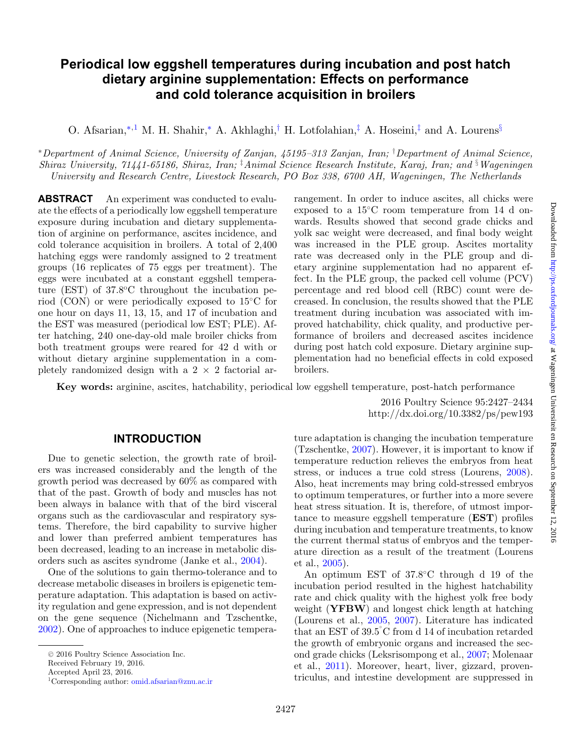# **Periodical low eggshell temperatures during incubation and post hatch dietary arginine supplementation: Effects on performance and cold tolerance acquisition in broilers**

O. Afsarian,[∗](#page-0-0)[,1](#page-0-1) M. H. Shahir,[∗](#page-0-0) A. Akhlaghi,[†](#page-0-2) H. Lotfolahian,[‡](#page-0-3) A. Hoseini,[‡](#page-0-3) and A. Lourens[§](#page-0-4)

<span id="page-0-0"></span><sup>∗</sup>*Department of Animal Science, University of Zanjan, 45195–313 Zanjan, Iran;* † *Department of Animal Science, Shiraz University, 71441-65186, Shiraz, Iran;* ‡ *Animal Science Research Institute, Karaj, Iran; and* § *Wageningen University and Research Centre, Livestock Research, PO Box 338, 6700 AH, Wageningen, The Netherlands*

**ABSTRACT** An experiment was conducted to evaluate the effects of a periodically low eggshell temperature exposure during incubation and dietary supplementation of arginine on performance, ascites incidence, and cold tolerance acquisition in broilers. A total of 2,400 hatching eggs were randomly assigned to 2 treatment groups (16 replicates of 75 eggs per treatment). The eggs were incubated at a constant eggshell temperature (EST) of  $37.8^{\circ}$ C throughout the incubation period (CON) or were periodically exposed to 15◦C for one hour on days 11, 13, 15, and 17 of incubation and the EST was measured (periodical low EST; PLE). After hatching, 240 one-day-old male broiler chicks from both treatment groups were reared for 42 d with or without dietary arginine supplementation in a completely randomized design with a  $2 \times 2$  factorial ar<span id="page-0-4"></span><span id="page-0-3"></span><span id="page-0-2"></span>rangement. In order to induce ascites, all chicks were exposed to a 15◦C room temperature from 14 d onwards. Results showed that second grade chicks and yolk sac weight were decreased, and final body weight was increased in the PLE group. Ascites mortality rate was decreased only in the PLE group and dietary arginine supplementation had no apparent effect. In the PLE group, the packed cell volume (PCV) percentage and red blood cell (RBC) count were decreased. In conclusion, the results showed that the PLE treatment during incubation was associated with improved hatchability, chick quality, and productive performance of broilers and decreased ascites incidence during post hatch cold exposure. Dietary arginine supplementation had no beneficial effects in cold exposed broilers.

**Key words:** arginine, ascites, hatchability, periodical low eggshell temperature, post-hatch performance

2016 Poultry Science 95:2427–2434 http://dx.doi.org/10.3382/ps/pew193

#### **INTRODUCTION**

Due to genetic selection, the growth rate of broilers was increased considerably and the length of the growth period was decreased by 60% as compared with that of the past. Growth of body and muscles has not been always in balance with that of the bird visceral organs such as the cardiovascular and respiratory systems. Therefore, the bird capability to survive higher and lower than preferred ambient temperatures has been decreased, leading to an increase in metabolic disorders such as ascites syndrome (Janke et al., [2004\)](#page-6-0).

One of the solutions to gain thermo-tolerance and to decrease metabolic diseases in broilers is epigenetic temperature adaptation. This adaptation is based on activity regulation and gene expression, and is not dependent on the gene sequence (Nichelmann and Tzschentke, [2002\)](#page-6-1). One of approaches to induce epigenetic tempera-

ture adaptation is changing the incubation temperature (Tzschentke, [2007\)](#page-7-0). However, it is important to know if temperature reduction relieves the embryos from heat stress, or induces a true cold stress (Lourens, [2008\)](#page-6-2). Also, heat increments may bring cold-stressed embryos to optimum temperatures, or further into a more severe heat stress situation. It is, therefore, of utmost importance to measure eggshell temperature (**EST**) profiles during incubation and temperature treatments, to know the current thermal status of embryos and the temperature direction as a result of the treatment (Lourens et al., [2005\)](#page-6-3).

An optimum EST of 37.8◦C through d 19 of the incubation period resulted in the highest hatchability rate and chick quality with the highest yolk free body weight (**YFBW**) and longest chick length at hatching (Lourens et al., [2005,](#page-6-3) [2007\)](#page-6-4). Literature has indicated that an EST of 39.5◦ C from d 14 of incubation retarded the growth of embryonic organs and increased the second grade chicks (Leksrisompong et al., [2007;](#page-6-5) Molenaar et al., [2011\)](#page-6-6). Moreover, heart, liver, gizzard, proventriculus, and intestine development are suppressed in

<sup>C</sup> 2016 Poultry Science Association Inc.

Received February 19, 2016.

<span id="page-0-1"></span>Accepted April 23, 2016.

<sup>1</sup>Corresponding author: [omid.afsarian@znu.ac.ir](mailto:omid.afsarian@znu.ac.ir)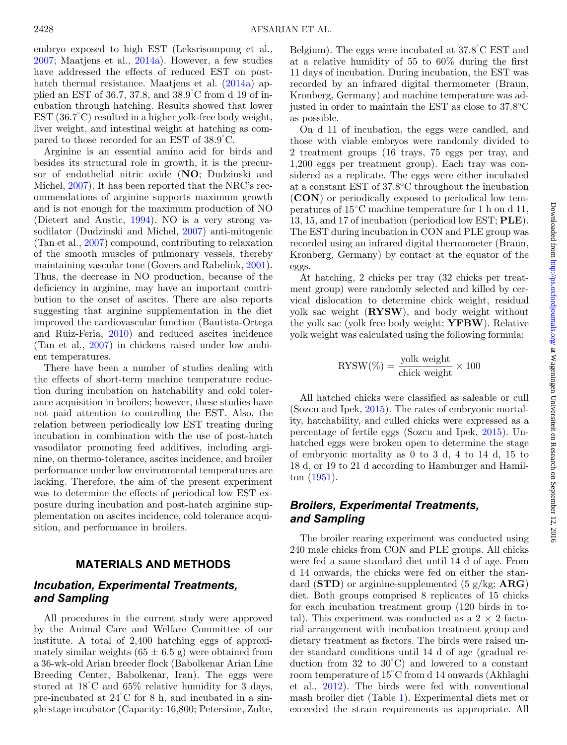embryo exposed to high EST (Leksrisompong et al., [2007;](#page-6-5) Maatjens et al., [2014a\)](#page-6-7). However, a few studies have addressed the effects of reduced EST on post-hatch thermal resistance. Maatjens et al. [\(2014a\)](#page-6-7) applied an EST of 36.7, 37.8, and 38.9◦ C from d 19 of incubation through hatching. Results showed that lower EST (36.7◦ C) resulted in a higher yolk-free body weight, liver weight, and intestinal weight at hatching as compared to those recorded for an EST of 38.9◦ C.

Arginine is an essential amino acid for birds and besides its structural role in growth, it is the precursor of endothelial nitric oxide (**NO**; Dudzinski and Michel, [2007\)](#page-6-8). It has been reported that the NRC's recommendations of arginine supports maximum growth and is not enough for the maximum production of NO (Dietert and Austic, [1994\)](#page-6-9). NO is a very strong vasodilator (Dudzinski and Michel, [2007\)](#page-6-8) anti-mitogenic (Tan et al., [2007\)](#page-6-10) compound, contributing to relaxation of the smooth muscles of pulmonary vessels, thereby maintaining vascular tone (Govers and Rabelink, [2001\)](#page-6-11). Thus, the decrease in NO production, because of the deficiency in arginine, may have an important contribution to the onset of ascites. There are also reports suggesting that arginine supplementation in the diet improved the cardiovascular function (Bautista-Ortega and Ruiz-Feria, [2010\)](#page-6-12) and reduced ascites incidence (Tan et al., [2007\)](#page-6-10) in chickens raised under low ambient temperatures.

There have been a number of studies dealing with the effects of short-term machine temperature reduction during incubation on hatchability and cold tolerance acquisition in broilers; however, these studies have not paid attention to controlling the EST. Also, the relation between periodically low EST treating during incubation in combination with the use of post-hatch vasodilator promoting feed additives, including arginine, on thermo-tolerance, ascites incidence, and broiler performance under low environmental temperatures are lacking. Therefore, the aim of the present experiment was to determine the effects of periodical low EST exposure during incubation and post-hatch arginine supplementation on ascites incidence, cold tolerance acquisition, and performance in broilers.

### **MATERIALS AND METHODS**

## *Incubation, Experimental Treatments, and Sampling*

All procedures in the current study were approved by the Animal Care and Welfare Committee of our institute. A total of 2,400 hatching eggs of approximately similar weights  $(65 \pm 6.5 \text{ g})$  were obtained from a 36-wk-old Arian breeder flock (Babolkenar Arian Line Breeding Center, Babolkenar, Iran). The eggs were stored at  $18^{\circ}$ C and  $65\%$  relative humidity for 3 days, pre-incubated at 24◦ C for 8 h, and incubated in a single stage incubator (Capacity: 16,800; Petersime, Zulte,

Belgium). The eggs were incubated at  $37.8^{\circ}$ C EST and at a relative humidity of 55 to 60% during the first 11 days of incubation. During incubation, the EST was recorded by an infrared digital thermometer (Braun, Kronberg, Germany) and machine temperature was adjusted in order to maintain the EST as close to  $37.8^{\circ}$ C as possible.

On d 11 of incubation, the eggs were candled, and those with viable embryos were randomly divided to 2 treatment groups (16 trays, 75 eggs per tray, and 1,200 eggs per treatment group). Each tray was considered as a replicate. The eggs were either incubated at a constant EST of 37.8oC throughout the incubation (**CON**) or periodically exposed to periodical low temperatures of 15◦C machine temperature for 1 h on d 11, 13, 15, and 17 of incubation (periodical low EST; **PLE**). The EST during incubation in CON and PLE group was recorded using an infrared digital thermometer (Braun, Kronberg, Germany) by contact at the equator of the eggs.

At hatching, 2 chicks per tray (32 chicks per treatment group) were randomly selected and killed by cervical dislocation to determine chick weight, residual yolk sac weight (**RYSW**), and body weight without the yolk sac (yolk free body weight; **YFBW**). Relative yolk weight was calculated using the following formula:

$$
\text{RYSW}(\%) = \frac{\text{yolk weight}}{\text{chick weight}} \times 100
$$

All hatched chicks were classified as saleable or cull (Sozcu and Ipek, [2015\)](#page-6-13). The rates of embryonic mortality, hatchability, and culled chicks were expressed as a percentage of fertile eggs (Sozcu and Ipek, [2015\)](#page-6-13). Unhatched eggs were broken open to determine the stage of embryonic mortality as 0 to 3 d, 4 to 14 d, 15 to 18 d, or 19 to 21 d according to Hamburger and Hamilton [\(1951\)](#page-6-14).

# *Broilers, Experimental Treatments, and Sampling*

The broiler rearing experiment was conducted using 240 male chicks from CON and PLE groups. All chicks were fed a same standard diet until 14 d of age. From d 14 onwards, the chicks were fed on either the standard (**STD**) or arginine-supplemented (5 g/kg; **ARG**) diet. Both groups comprised 8 replicates of 15 chicks for each incubation treatment group (120 birds in total). This experiment was conducted as a  $2 \times 2$  factorial arrangement with incubation treatment group and dietary treatment as factors. The birds were raised under standard conditions until 14 d of age (gradual reduction from  $32$  to  $30^{\circ}$ C) and lowered to a constant room temperature of  $15^{\circ}$ C from d 14 onwards (Akhlaghi et al., [2012\)](#page-6-15). The birds were fed with conventional mash broiler diet (Table [1\)](#page-2-0). Experimental diets met or exceeded the strain requirements as appropriate. All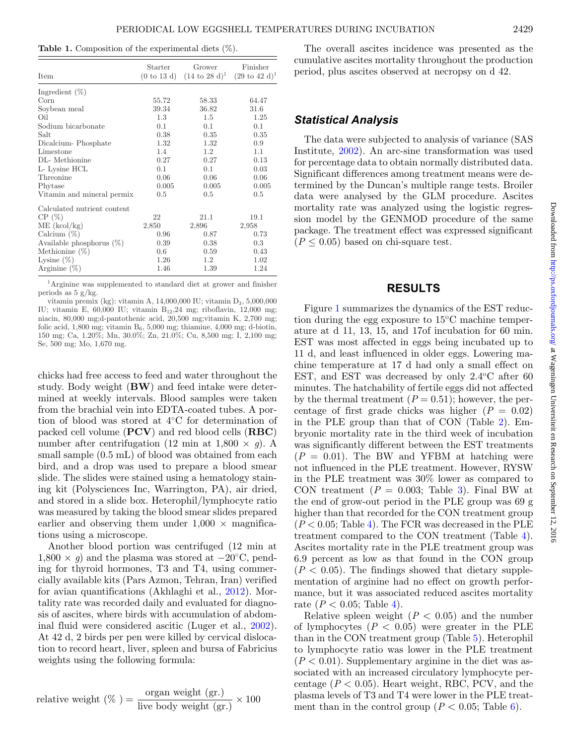<span id="page-2-0"></span>**Table 1.** Composition of the experimental diets (%).

| Item                        | Starter<br>(0 to 13 d) | Grower<br>$(14 \text{ to } 28 \text{ d})^1$ | Finisher<br>$(29 \text{ to } 42 \text{ d})^1$ |
|-----------------------------|------------------------|---------------------------------------------|-----------------------------------------------|
| Ingredient $(\%)$           |                        |                                             |                                               |
| Corn                        | 55.72                  | 58.33                                       | 64.47                                         |
| Soybean meal                | 39.34                  | 36.82                                       | 31.6                                          |
| Oil                         | 1.3                    | $1.5\,$                                     | 1.25                                          |
| Sodium bicarbonate          | 0.1                    | 0.1                                         | 0.1                                           |
| Salt                        | 0.38                   | 0.35                                        | 0.35                                          |
| Dicalcium-Phosphate         | 1.32                   | 1.32                                        | 0.9                                           |
| Limestone                   | 1.4                    | 1.2                                         | 1.1                                           |
| DL-Methionine               | 0.27                   | 0.27                                        | 0.13                                          |
| L- Lysine HCL               | 0.1                    | 0.1                                         | 0.03                                          |
| Threonine                   | 0.06                   | 0.06                                        | 0.06                                          |
| Phytase                     | 0.005                  | 0.005                                       | 0.005                                         |
| Vitamin and mineral permix  | 0.5                    | 0.5                                         | 0.5                                           |
| Calculated nutrient content |                        |                                             |                                               |
| CP(%)                       | 22                     | 21.1                                        | 19.1                                          |
| ME (kcol/kg)                | 2,850                  | 2,896                                       | 2,958                                         |
| Calcium $(\%)$              | 0.96                   | 0.87                                        | 0.73                                          |
| Available phosphorus $(\%)$ | 0.39                   | 0.38                                        | $0.3\,$                                       |
| Methionine $(\%)$           | 0.6                    | 0.59                                        | 0.43                                          |
| Lysine $(\%)$               | 1.26                   | $1.2\,$                                     | 1.02                                          |
| Arginine $(\%)$             | 1.46                   | 1.39                                        | 1.24                                          |

1Arginine was supplemented to standard diet at grower and finisher periods as  $5 \text{ g/kg}$ .

vitamin premix (kg): vitamin A, 14,000,000 IU; vitamin D3, 5,000,000 IU; vitamin E,  $60,000$  IU; vitamin B<sub>12</sub>,24 mg; riboflavin, 12,000 mg; niacin, 80,000 mg;d-pantothenic acid, 20,500 mg;vitamin K, 2,700 mg; folic acid, 1,800 mg; vitamin  $B_6$ , 5,000 mg; thiamine, 4,000 mg; d-biotin, 150 mg; Ca, 1.20%; Mn, 30.0%; Zn, 21.0%; Cu, 8,500 mg; I, 2,100 mg; Se, 500 mg; Mo, 1,670 mg.

chicks had free access to feed and water throughout the study. Body weight (**BW**) and feed intake were determined at weekly intervals. Blood samples were taken from the brachial vein into EDTA-coated tubes. A portion of blood was stored at 4◦C for determination of packed cell volume (**PCV**) and red blood cells (**RBC**) number after centrifugation (12 min at 1,800  $\times$  *g*). A small sample (0.5 mL) of blood was obtained from each bird, and a drop was used to prepare a blood smear slide. The slides were stained using a hematology staining kit (Polysciences Inc, Warrington, PA), air dried, and stored in a slide box. Heterophil/lymphocyte ratio was measured by taking the blood smear slides prepared earlier and observing them under  $1,000 \times$  magnifications using a microscope.

Another blood portion was centrifuged (12 min at  $1,800 \times g$ ) and the plasma was stored at  $-20^{\circ}$ C, pending for thyroid hormones, T3 and T4, using commercially available kits (Pars Azmon, Tehran, Iran) verified for avian quantifications (Akhlaghi et al., [2012\)](#page-6-15). Mortality rate was recorded daily and evaluated for diagnosis of ascites, where birds with accumulation of abdominal fluid were considered ascitic (Luger et al., [2002\)](#page-6-16). At 42 d, 2 birds per pen were killed by cervical dislocation to record heart, liver, spleen and bursa of Fabricius weights using the following formula:

relative weight (
$$
\%
$$
) =  $\frac{\text{organ weight (gr.)}}{\text{live body weight (gr.)}} \times 100$ 

The overall ascites incidence was presented as the cumulative ascites mortality throughout the production period, plus ascites observed at necropsy on d 42.

# *Statistical Analysis*

The data were subjected to analysis of variance (SAS Institute, [2002\)](#page-6-17). An arc-sine transformation was used for percentage data to obtain normally distributed data. Significant differences among treatment means were determined by the Duncan's multiple range tests. Broiler data were analysed by the GLM procedure. Ascites mortality rate was analyzed using the logistic regression model by the GENMOD procedure of the same package. The treatment effect was expressed significant  $(P \leq 0.05)$  based on chi-square test.

#### **RESULTS**

Figure [1](#page-3-0) summarizes the dynamics of the EST reduction during the egg exposure to  $15^{\circ}$ C machine temperature at d 11, 13, 15, and 17of incubation for 60 min. EST was most affected in eggs being incubated up to 11 d, and least influenced in older eggs. Lowering machine temperature at 17 d had only a small effect on EST, and EST was decreased by only  $2.4^{\circ}$ C after 60 minutes. The hatchability of fertile eggs did not affected by the thermal treatment  $(P = 0.51)$ ; however, the percentage of first grade chicks was higher  $(P = 0.02)$ in the PLE group than that of CON (Table [2\)](#page-3-1). Embryonic mortality rate in the third week of incubation was significantly different between the EST treatments  $(P = 0.01)$ . The BW and YFBM at hatching were not influenced in the PLE treatment. However, RYSW in the PLE treatment was 30% lower as compared to CON treatment  $(P = 0.003;$  Table [3\)](#page-3-2). Final BW at the end of grow-out period in the PLE group was 69 g higher than that recorded for the CON treatment group  $(P < 0.05;$  Table [4\)](#page-4-0). The FCR was decreased in the PLE treatment compared to the CON treatment (Table [4\)](#page-4-0). Ascites mortality rate in the PLE treatment group was 6.9 percent as low as that found in the CON group  $(P < 0.05)$ . The findings showed that dietary supplementation of arginine had no effect on growth performance, but it was associated reduced ascites mortality rate  $(P < 0.05$ ; Table [4\)](#page-4-0).

Relative spleen weight  $(P < 0.05)$  and the number of lymphocytes  $(P < 0.05)$  were greater in the PLE than in the CON treatment group (Table [5\)](#page-4-1). Heterophil to lymphocyte ratio was lower in the PLE treatment  $(P < 0.01)$ . Suppl[e](#page-3-2)mentary arginine in the diet was associated with an increased circulatory lymphocyte percentage  $(P < 0.05)$ . Heart weight, RBC, PCV, and the plasma levels of T3 and T4 were lower in the PLE treatment than in the control group ( $P < 0.05$ ; Table [6\)](#page-5-0).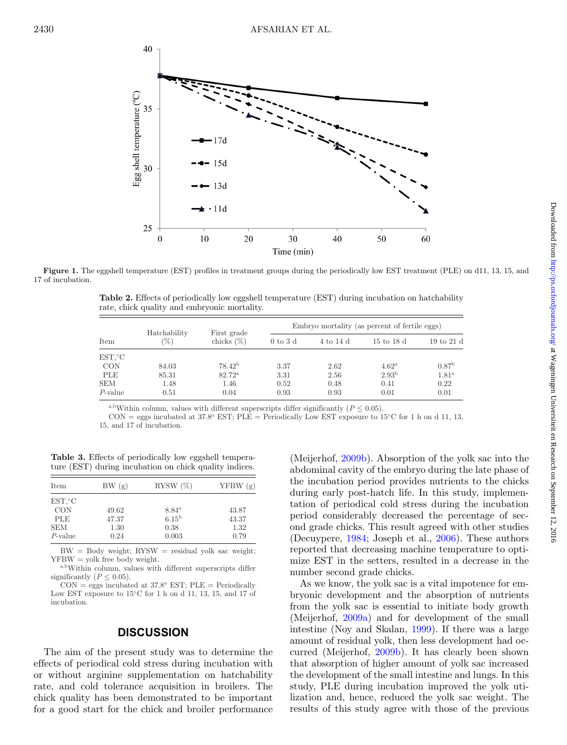<span id="page-3-0"></span>

<span id="page-3-1"></span>**Figure 1.** The eggshell temperature (EST) profiles in treatment groups during the periodically low EST treatment (PLE) on d11, 13, 15, and 17 of incubation.

**Table 2.** Effects of periodically low eggshell temperature (EST) during incubation on hatchability rate, chick quality and embryonic mortality.

| Item       | Hatchability<br>96) | First grade<br>chicks $(\%)$ | Embryo mortality (as percent of fertile eggs) |           |                   |                               |  |
|------------|---------------------|------------------------------|-----------------------------------------------|-----------|-------------------|-------------------------------|--|
|            |                     |                              | $0 \text{ to } 3 \text{ d}$                   | 4 to 14 d | 15 to 18 d        | $19 \text{ to } 21 \text{ d}$ |  |
| $EST.$ °C  |                     |                              |                                               |           |                   |                               |  |
| <b>CON</b> | 84.03               | $78.42^{b}$                  | 3.37                                          | 2.62      | $4.62^{\rm a}$    | 0.87 <sup>b</sup>             |  |
| PLE        | 85.31               | $82.72^{\rm a}$              | 3.31                                          | 2.56      | 2.93 <sup>b</sup> | 1.81 <sup>a</sup>             |  |
| <b>SEM</b> | 1.48                | 1.46                         | 0.52                                          | 0.48      | 0.41              | 0.22                          |  |
| $P$ -value | 0.51                | 0.04                         | 0.93                                          | 0.93      | 0.01              | 0.01                          |  |

<sup>a,b</sup>Within column, values with different superscripts differ significantly ( $P \leq 0.05$ ).

CON = eggs incubated at 37.8<sup>o</sup> EST; PLE = Periodically Low EST exposure to 15<sup>o</sup>C for 1 h on d 11, 13, 15, and 17 of incubation.

<span id="page-3-2"></span>**Table 3.** Effects of periodically low eggshell temperature (EST) during incubation on chick quality indices.

| Item       | BW(g) | RYSW $(\%)$       | YFBW(g) |
|------------|-------|-------------------|---------|
| $EST.$ °C  |       |                   |         |
| <b>CON</b> | 49.62 | 8.84 <sup>a</sup> | 43.87   |
| <b>PLE</b> | 47.37 | $6.15^{b}$        | 43.37   |
| <b>SEM</b> | 1.30  | 0.38              | 1.32    |
| $P$ -value | 0.24  | 0.003             | 0.79    |

 $BW = Body weight$ ;  $RYSW = residual yolk$  sac weight; YFBW = yolk free body weight.

a,bWithin column, values with different superscripts differ significantly ( $P \leq 0.05$ ).

 $CON = eggs$  incubated at 37.8° EST;  $PLE = Periodically$ Low EST exposure to 15◦C for 1 h on d 11, 13, 15, and 17 of incubation.

#### **DISCUSSION**

The aim of the present study was to determine the effects of periodical cold stress during incubation with or without arginine supplementation on hatchability rate, and cold tolerance acquisition in broilers. The chick quality has been demonstrated to be important for a good start for the chick and broiler performance

(Meijerhof, [2009b\)](#page-6-18). Absorption of the yolk sac into the abdominal cavity of the embryo during the late phase of the incubation period provides nutrients to the chicks during early post-hatch life. In this study, implementation of periodical cold stress during the incubation period considerably decreased the percentage of second grade chicks. This result agreed with other studies (Decuypere, [1984;](#page-6-19) Joseph et al., [2006\)](#page-6-20). These authors reported that decreasing machine temperature to optimize EST in the setters, resulted in a decrease in the number second grade chicks.

As we know, the yol[k](#page-4-0) sac is a vital impotence for embryonic development and the absorption of nutrients from the yolk sac is essential to initiate body growth (Meijerhof, [2009a\)](#page-6-21) and for development of the small intestine (Noy and Skalan, [1999\)](#page-6-22). If there was a large amount of residual yolk, then less development had occurred (Meijerhof, [2009b\)](#page-6-18). It has clearly been shown that absorption of higher amount of yolk sac increased the development of the small intestine and lungs. In this study, PLE during incubation improved the yolk utilization and, hence, reduced the yolk sac weight. The results of this study agree with those of the previous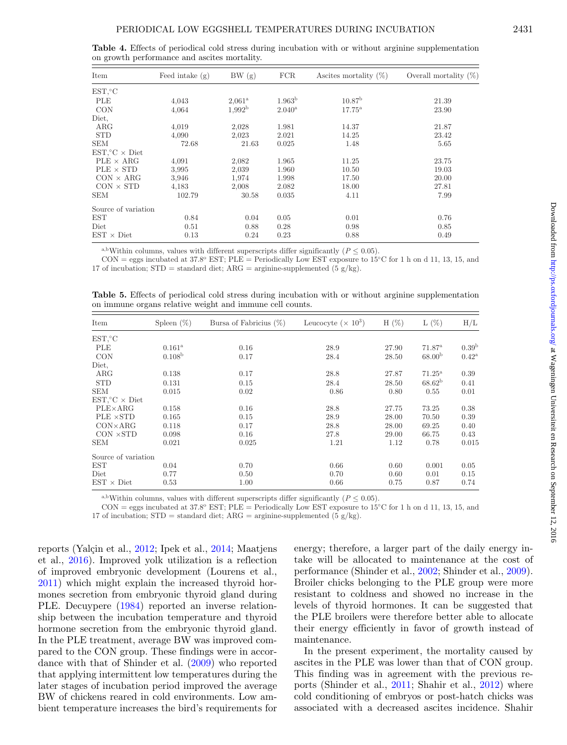<span id="page-4-0"></span>

| Item                            | Feed intake $(g)$ | BW(g)           | <b>FCR</b>         | Ascites mortality $(\%)$ | Overall mortality $(\%)$ |
|---------------------------------|-------------------|-----------------|--------------------|--------------------------|--------------------------|
| EST, °C                         |                   |                 |                    |                          |                          |
| PLE                             | 4,043             | $2.061^{\rm a}$ | 1.963 <sup>b</sup> | 10.87 <sup>b</sup>       | 21.39                    |
| <b>CON</b>                      | 4,064             | $1,992^{\rm b}$ | $2.040^{\rm a}$    | $17.75^{\rm a}$          | 23.90                    |
| Diet.                           |                   |                 |                    |                          |                          |
| $\rm{ARG}$                      | 4,019             | 2,028           | 1.981              | 14.37                    | 21.87                    |
| <b>STD</b>                      | 4,090             | 2,023           | 2.021              | 14.25                    | 23.42                    |
| <b>SEM</b>                      | 72.68             | 21.63           | 0.025              | 1.48                     | 5.65                     |
| $EST$ $\mathcal{C} \times$ Diet |                   |                 |                    |                          |                          |
| $PLE \times ARG$                | 4,091             | 2,082           | 1.965              | 11.25                    | 23.75                    |
| $PLE \times STD$                | 3,995             | 2,039           | 1.960              | 10.50                    | 19.03                    |
| $CON \times ARG$                | 3,946             | 1,974           | 1.998              | 17.50                    | 20.00                    |
| $CON \times STD$                | 4.183             | 2,008           | 2.082              | 18.00                    | 27.81                    |
| <b>SEM</b>                      | 102.79            | 30.58           | 0.035              | 4.11                     | 7.99                     |
| Source of variation             |                   |                 |                    |                          |                          |
| <b>EST</b>                      | 0.84              | 0.04            | 0.05               | 0.01                     | 0.76                     |
| Diet                            | 0.51              | 0.88            | 0.28               | 0.98                     | 0.85                     |
| $EST \times Diet$               | 0.13              | 0.24            | 0.23               | 0.88                     | 0.49                     |

**Table 4.** Effects of periodical cold stress during incubation with or without arginine supplementation on growth performance and ascites mortality.

<sup>a,b</sup>Within columns, values with different superscripts differ significantly ( $P \le 0.05$ ).

CON = eggs incubated at 37.8° EST; PLE = Periodically Low EST exposure to 15°C for 1 h on d 11, 13, 15, and 17 of incubation;  $STD = standard diet$ ;  $ARG = arginine-supplemented (5 g/kg)$ .

<span id="page-4-1"></span>**Table 5.** Effects of periodical cold stress during incubation with or without arginine supplementation on immune organs relative weight and immune cell counts.

| Item                        | Spleen $(\%)$<br>Bursa of Fabricius $(\%)$ |       | Leucocyte ( $\times$ 10 <sup>3</sup> ) | $H(\%)$ | L(%)               | H/L               |  |
|-----------------------------|--------------------------------------------|-------|----------------------------------------|---------|--------------------|-------------------|--|
| EST, °C                     |                                            |       |                                        |         |                    |                   |  |
| PLE                         | $0.161^{\rm a}$                            | 0.16  | 28.9                                   | 27.90   | 71.87 <sup>a</sup> | 0.39 <sup>b</sup> |  |
| <b>CON</b>                  | 0.108 <sup>b</sup>                         | 0.17  | 28.4                                   | 28.50   | 68.00 <sup>b</sup> | $0.42^{\rm a}$    |  |
| Diet.                       |                                            |       |                                        |         |                    |                   |  |
| $\rm{ARG}$                  | 0.138                                      | 0.17  | 28.8                                   | 27.87   | $71.25^{\rm a}$    | 0.39              |  |
| <b>STD</b>                  | 0.131                                      | 0.15  | 28.4                                   | 28.50   | $68.62^{b}$        | 0.41              |  |
| <b>SEM</b>                  | 0.015                                      | 0.02  | 0.86                                   | 0.80    | 0.55               | 0.01              |  |
| $EST.^{\circ}C \times Diet$ |                                            |       |                                        |         |                    |                   |  |
| $PLE \times ARG$            | 0.158                                      | 0.16  | 28.8                                   | 27.75   | 73.25              | 0.38              |  |
| $PLE \times STD$            | 0.165                                      | 0.15  | 28.9                                   | 28.00   | 70.50              | 0.39              |  |
| $CON \times ARG$            | 0.118                                      | 0.17  | 28.8                                   | 28.00   | 69.25              | 0.40              |  |
| $CON \times STD$            | 0.098                                      | 0.16  | 27.8                                   | 29.00   | 66.75              | 0.43              |  |
| <b>SEM</b>                  | 0.021                                      | 0.025 | 1.21                                   | 1.12    | 0.78               | 0.015             |  |
| Source of variation         |                                            |       |                                        |         |                    |                   |  |
| EST                         | 0.04                                       | 0.70  | 0.66                                   | 0.60    | 0.001              | 0.05              |  |
| Diet                        | 0.77                                       | 0.50  | 0.70                                   | 0.60    | 0.01               | 0.15              |  |
| $EST \times Diet$           | 0.53                                       | 1.00  | 0.66                                   | 0.75    | 0.87               | 0.74              |  |

<sup>a,b</sup>Within columns, values with different superscripts differ significantly ( $P \leq 0.05$ ).

 $CON = eggs\, incubated\,at\,37.8°\,EST; PLE = Periodically\,Low\,EST\,exposure\ to\ 15°C\,for\,1\,h\,on\,d\,11,\,13,\,15,\,and$ 

17 of incubation;  $STD = standard diet$ ;  $ARG = arginine-supplemented (5 g/kg)$ .

reports (Yalçin et al., [2012;](#page-7-1) Ipek et al., [2014;](#page-6-23) Maatjens et al., [2016\)](#page-6-24). Improved yolk utilization is a reflection of improved embryonic development (Lourens et al., [2011\)](#page-6-25) which might explain the increased thyroid hormones secretion from embryonic thyroid gland during PLE. Decuypere [\(1984\)](#page-6-19) reported an inverse relationship between the incubation temperature and thyroid hormone secretion from the embryonic thyroid gland. In the PLE treatment, average BW was improved compared to the CON group. These findings were in accordance with that of Shinder et al. [\(2009\)](#page-6-26) who reported that applying intermittent low temperatures during the later stages of incubation period improved the average BW of chickens reared in cold environments. Low ambient temperature increases the bird's requirements for energy; therefore, a larger part of the daily energy intake will be allocated to maintenance at the cost of performance (Shinder et al., [2002;](#page-6-27) Shinder et al., [2009\)](#page-6-26). Broiler chicks belonging to the PLE group were more resistant to coldness and showed no increase in the levels of thyroid hormones. It can be suggested that the PLE broilers were therefore better able to allocate their energy efficiently in favor of growth instead of maintenance.

In the present experiment, the mortality caused by ascites in the PLE was lower than that of CON group. This finding was in agreement with the previous reports (Shinder et al., [2011;](#page-6-28) Shahir et al., [2012\)](#page-6-29) where cold conditioning of embryos or post-hatch chicks was associated with a decreased ascites incidence. Shahir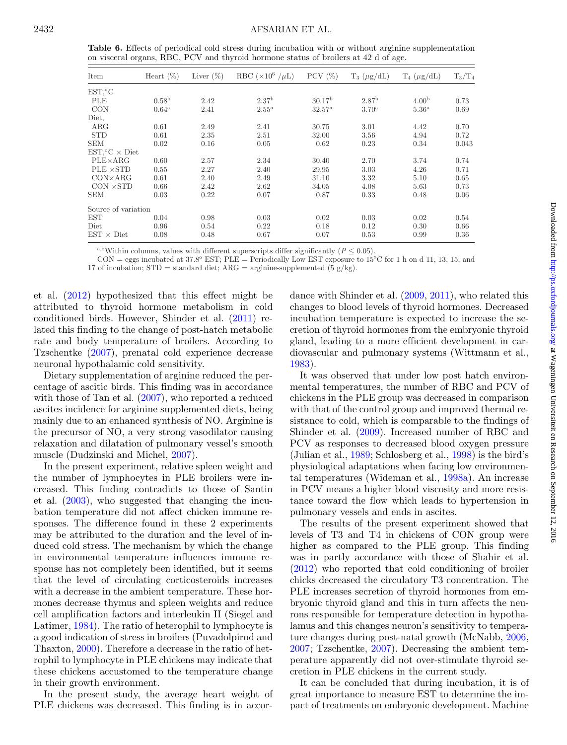<span id="page-5-0"></span>**Table 6.** Effects of periodical cold stress during incubation with or without arginine supplementation on visceral organs, RBC, PCV and thyroid hormone status of broilers at 42 d of age.

| Item                        | Heart $(\%)$      | Liver $(\%)$ | RBC $(\times 10^6 / \mu L)$ | PCV $(\%)$         | $T_3$ ( $\mu$ g/dL) | $T_4$ ( $\mu$ g/dL) | $T_3/T_4$ |
|-----------------------------|-------------------|--------------|-----------------------------|--------------------|---------------------|---------------------|-----------|
| EST, °C                     |                   |              |                             |                    |                     |                     |           |
| PLE                         | 0.58 <sup>b</sup> | 2.42         | 2.37 <sup>b</sup>           | 30.17 <sup>b</sup> | 2.87 <sup>b</sup>   | 4.00 <sup>b</sup>   | 0.73      |
| <b>CON</b>                  | $0.64^{\rm a}$    | 2.41         | $2.55^{\mathrm{a}}$         | $32.57^{\rm a}$    | 3.70 <sup>a</sup>   | 5.36 <sup>a</sup>   | 0.69      |
| Diet.                       |                   |              |                             |                    |                     |                     |           |
| $\rm{ARG}$                  | 0.61              | 2.49         | 2.41                        | 30.75              | 3.01                | 4.42                | 0.70      |
| <b>STD</b>                  | 0.61              | 2.35         | 2.51                        | 32.00              | 3.56                | 4.94                | 0.72      |
| <b>SEM</b>                  | 0.02              | 0.16         | 0.05                        | 0.62               | 0.23                | 0.34                | 0.043     |
| $EST.^{\circ}C \times Diet$ |                   |              |                             |                    |                     |                     |           |
| $PLE \times ARG$            | 0.60              | 2.57         | 2.34                        | 30.40              | 2.70                | 3.74                | 0.74      |
| $PLE \times STD$            | 0.55              | 2.27         | 2.40                        | 29.95              | 3.03                | 4.26                | 0.71      |
| $CON \times ARG$            | 0.61              | 2.40         | 2.49                        | 31.10              | 3.32                | 5.10                | 0.65      |
| $CON \times STD$            | 0.66              | 2.42         | 2.62                        | 34.05              | 4.08                | 5.63                | 0.73      |
| <b>SEM</b>                  | 0.03              | 0.22         | 0.07                        | 0.87               | 0.33                | 0.48                | 0.06      |
| Source of variation         |                   |              |                             |                    |                     |                     |           |
| <b>EST</b>                  | 0.04              | 0.98         | 0.03                        | 0.02               | 0.03                | 0.02                | 0.54      |
| Diet                        | 0.96              | 0.54         | 0.22                        | 0.18               | 0.12                | 0.30                | 0.66      |
| $EST \times Diet$           | 0.08              | 0.48         | 0.67                        | 0.07               | 0.53                | 0.99                | 0.36      |

<sup>a,b</sup>Within columns, values with different superscripts differ significantly ( $P \leq 0.05$ ).

CON = eggs incubated at 37.8o EST; PLE = Periodically Low EST exposure to 15◦C for 1 h on d 11, 13, 15, and

17 of incubation;  $STD = standard$  diet;  $ARG = arginine-supplemented$  (5 g/kg).

et al. [\(2012\)](#page-6-29) hypothesized that this effect might be attributed to thyroid hormone metabolism in cold conditioned birds. However, Shinder et al. [\(2011\)](#page-6-28) related this finding to the change of post-hatch metabolic rate and body temperature of broilers. According to Tzschentke [\(2007\)](#page-7-0), prenatal cold experience decrease neuronal hypothalamic cold sensitivity.

Dietary supplementation of arginine reduced the percentage of ascitic birds. This finding was in accordance with those of Tan et al.  $(2007)$ , who reported a reduced ascites incidence for arginine supplemented diets, being mainly due to an enhanced synthesis of NO. Arginine is the precursor of NO, a very strong vasodilator causing relaxation and dilatation of pulmonary vessel's smooth muscle (Dudzinski and Michel, [2007\)](#page-6-8).

In the present experiment, relative spleen weight and the number of lymphocytes in PLE broilers were increased. This finding contradicts to those of Santin et al. [\(2003\)](#page-6-30), who suggested that changing the incubation temperature did not affect chicken immune responses. The difference found in these 2 experiments may be attributed to the duration and the level of induced cold stress. The mechanism by which the change in environmental temperature influences immune response has not completely been identified, but it seems that the level of circulating corticosteroids increases with a decrease in the ambient temperature. These hormones decrease thymus and spleen weights and reduce cell amplification factors and interleukin II (Siegel and Latimer, [1984\)](#page-6-31). The ratio of heterophil to lymphocyte is a good indication of stress in broilers (Puvadolpirod and Thaxton, [2000\)](#page-6-32). Therefore a decrease in the ratio of hetrophil to lymphocyte in PLE chickens may indicate that these chickens accustomed to the temperature change in their growth environment.

In the present study, the average heart weight of PLE chickens was decreased. This finding is in accordance with Shinder et al. [\(2009,](#page-6-26) [2011\)](#page-6-28), who related this changes to blood levels of thyroid hormones. Decreased incubation temperature is expected to increase the secretion of thyroid hormones from the embryonic thyroid gland, leading to a more efficient development in cardiovascular and pulmonary systems (Wittmann et al., [1983\)](#page-7-2).

It was observed that under low post hatch environmental temperatures, the number of RBC and PCV of chickens in the PLE group was decreased in comparison with that of the control group and improved thermal resistance to cold, which is comparable to the findings of Shinder et al. [\(2009\)](#page-6-26). Increased number of RBC and PCV as responses to decreased blood oxygen pressure (Julian et al., [1989;](#page-6-33) Schlosberg et al., [1998\)](#page-6-34) is the bird's physiological adaptations when facing low environmental temperatures (Wideman et al., [1998a\)](#page-7-3). An increase in PCV means a higher blood viscosity and more resistance toward the flow which leads to hypertension in pulmonary vessels and ends in ascites.

The results of the present experiment showed that levels of T3 and T4 in chickens of CON group were higher as compared to the PLE group. This finding was in partly accordance with those of Shahir et al. [\(2012\)](#page-6-29) who reported that cold conditioning of broiler chicks decreased the circulatory T3 concentration. The PLE increases secretion of thyroid hormones from embryonic thyroid gland and this in turn affects the neurons responsible for temperature detection in hypothalamus and this changes neuron's sensitivity to temperature changes during post-natal growth (McNabb, [2006,](#page-6-35) [2007;](#page-6-36) Tzschentke, [2007\)](#page-7-0). Decreasing the ambient temperature apparently did not over-stimulate thyroid secretion in PLE chickens in the current study.

It can be concluded that during incubation, it is of great importance to measure EST to determine the impact of treatments on embryonic development. Machine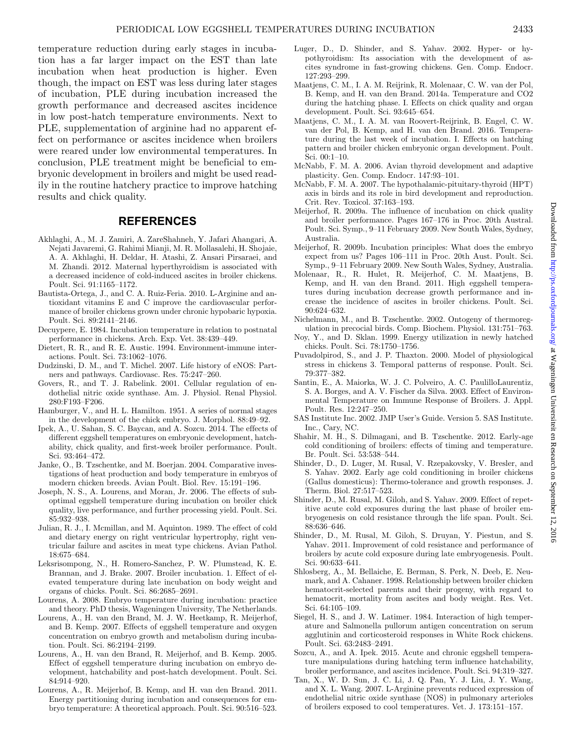temperature reduction during early stages in incubation has a far larger impact on the EST than late incubation when heat production is higher. Even though, the impact on EST was less during later stages of incubation, PLE during incubation increased the growth performance and decreased ascites incidence in low post-hatch temperature environments. Next to PLE, supplementation of arginine had no apparent effect on performance or ascites incidence when broilers were reared under low environmental temperatures. In conclusion, PLE treatment might be beneficial to embryonic development in broilers and might be used readily in the routine hatchery practice to improve hatching results and chick quality.

### **REFERENCES**

- <span id="page-6-15"></span>Akhlaghi, A., M. J. Zamiri, A. ZareShahneh, Y. Jafari Ahangari, A. Nejati Javaremi, G. Rahimi Mianji, M. R. Mollasalehi, H. Shojaie, A. A. Akhlaghi, H. Deldar, H. Atashi, Z. Ansari Pirsaraei, and M. Zhandi. 2012. Maternal hyperthyroidism is associated with a decreased incidence of cold-induced ascites in broiler chickens. Poult. Sci. 91:1165–1172.
- <span id="page-6-12"></span>Bautista-Ortega, J., and C. A. Ruiz-Feria. 2010. L-Arginine and antioxidant vitamins E and C improve the cardiovascular performance of broiler chickens grown under chronic hypobaric hypoxia. Poult. Sci. 89:2141–2146.
- <span id="page-6-19"></span>Decuypere, E. 1984. Incubation temperature in relation to postnatal performance in chickens. Arch. Exp. Vet. 38:439–449.
- <span id="page-6-9"></span>Dietert, R. R., and R. E. Austic. 1994. Environment-immune interactions. Poult. Sci. 73:1062–1076.
- <span id="page-6-8"></span>Dudzinski, D. M., and T. Michel. 2007. Life history of eNOS: Partners and pathways. Cardiovasc. Res. 75:247–260.
- <span id="page-6-11"></span>Govers, R., and T. J. Rabelink. 2001. Cellular regulation of endothelial nitric oxide synthase. Am. J. Physiol. Renal Physiol. 280:F193–F206.
- <span id="page-6-14"></span>Hamburger, V., and H. L. Hamilton. 1951. A series of normal stages in the development of the chick embryo. J. Morphol. 88:49–92.
- <span id="page-6-23"></span>Ipek, A., U. Sahan, S. C. Baycan, and A. Sozcu. 2014. The effects of different eggshell temperatures on embryonic development, hatchability, chick quality, and first-week broiler performance. Poult. Sci. 93:464–472.
- <span id="page-6-0"></span>Janke, O., B. Tzschentke, and M. Boerjan. 2004. Comparative investigations of heat production and body temperature in embryos of modern chicken breeds. Avian Poult. Biol. Rev. 15:191–196.
- <span id="page-6-20"></span>Joseph, N. S., A. Lourens, and Moran, Jr. 2006. The effects of suboptimal eggshell temperature during incubation on broiler chick quality, live performance, and further processing yield. Poult. Sci. 85:932–938.
- <span id="page-6-33"></span>Julian, R. J., I. Mcmillan, and M. Aquinton. 1989. The effect of cold and dietary energy on right ventricular hypertrophy, right ventricular failure and ascites in meat type chickens. Avian Pathol. 18:675–684.
- <span id="page-6-5"></span>Leksrisompong, N., H. Romero-Sanchez, P. W. Plumstead, K. E. Brannan, and J. Brake. 2007. Broiler incubation. 1. Effect of elevated temperature during late incubation on body weight and organs of chicks. Poult. Sci. 86:2685–2691.
- <span id="page-6-2"></span>Lourens, A. 2008. Embryo temperature during incubation: practice and theory. PhD thesis, Wageningen University, The Netherlands.
- <span id="page-6-4"></span>Lourens, A., H. van den Brand, M. J. W. Heetkamp, R. Meijerhof, and B. Kemp. 2007. Effects of eggshell temperature and oxygen concentration on embryo growth and metabolism during incubation. Poult. Sci. 86:2194–2199.
- <span id="page-6-3"></span>Lourens, A., H. van den Brand, R. Meijerhof, and B. Kemp. 2005. Effect of eggshell temperature during incubation on embryo development, hatchability and post-hatch development. Poult. Sci. 84:914–920.
- <span id="page-6-25"></span>Lourens, A., R. Meijerhof, B. Kemp, and H. van den Brand. 2011. Energy partitioning during incubation and consequences for embryo temperature: A theoretical approach. Poult. Sci. 90:516–523.
- <span id="page-6-16"></span>Luger, D., D. Shinder, and S. Yahav. 2002. Hyper- or hypothyroidism: Its association with the development of ascites syndrome in fast-growing chickens. Gen. Comp. Endocr. 127:293–299.
- <span id="page-6-7"></span>Maatjens, C. M., I. A. M. Reijrink, R. Molenaar, C. W. van der Pol, B. Kemp, and H. van den Brand. 2014a. Temperature and CO2 during the hatching phase. I. Effects on chick quality and organ development. Poult. Sci. 93:645–654.
- <span id="page-6-24"></span>Maatjens, C. M., I. A. M. van Roovert-Reijrink, B. Engel, C. W. van der Pol, B. Kemp, and H. van den Brand. 2016. Temperature during the last week of incubation. I. Effects on hatching pattern and broiler chicken embryonic organ development. Poult. Sci. 00:1–10.
- <span id="page-6-35"></span>McNabb, F. M. A. 2006. Avian thyroid development and adaptive plasticity. Gen. Comp. Endocr. 147:93–101.
- <span id="page-6-36"></span>McNabb, F. M. A. 2007. The hypothalamic-pituitary-thyroid (HPT) axis in birds and its role in bird development and reproduction. Crit. Rev. Toxicol. 37:163–193.
- <span id="page-6-21"></span>Meijerhof, R. 2009a. The influence of incubation on chick quality and broiler performance. Pages 167–176 in Proc. 20th Austral. Poult. Sci. Symp., 9–11 February 2009. New South Wales, Sydney, Australia.
- <span id="page-6-18"></span>Meijerhof, R. 2009b. Incubation principles: What does the embryo expect from us? Pages 106–111 in Proc. 20th Aust. Poult. Sci. Symp., 9–11 February 2009. New South Wales, Sydney, Australia.
- <span id="page-6-6"></span>Molenaar, R., R. Hulet, R. Meijerhof, C. M. Maatjens, B. Kemp, and H. van den Brand. 2011. High eggshell temperatures during incubation decrease growth performance and increase the incidence of ascites in broiler chickens. Poult. Sci. 90:624–632.
- <span id="page-6-1"></span>Nichelmann, M., and B. Tzschentke. 2002. Ontogeny of thermoregulation in precocial birds. Comp. Biochem. Physiol. 131:751–763.
- <span id="page-6-22"></span>Noy, Y., and D. Sklan. 1999. Energy utilization in newly hatched chicks. Poult. Sci. 78:1750–1756.
- <span id="page-6-32"></span>Puvadolpirod, S., and J. P. Thaxton. 2000. Model of physiological stress in chickens 3. Temporal patterns of response. Poult. Sci. 79:377–382.
- <span id="page-6-30"></span>Santin, E., A. Maiorka, W. J. C. Polveiro, A. C. PaulilloLaurentiz, S. A. Borges, and A. V. Fischer da Silva. 2003. Effect of Environmental Temperature on Immune Response of Broilers. J. Appl. Poult. Res. 12:247–250.
- <span id="page-6-17"></span>SAS Institute Inc. 2002. JMP User's Guide. Version 5. SAS Institute. Inc., Cary, NC.
- <span id="page-6-29"></span>Shahir, M. H., S. Dilmagani, and B. Tzschentke. 2012. Early-age cold conditioning of broilers: effects of timing and temperature. Br. Poult. Sci. 53:538–544.
- <span id="page-6-27"></span>Shinder, D., D. Luger, M. Rusal, V. Rzepakovsky, V. Bresler, and S. Yahav. 2002. Early age cold conditioning in broiler chickens (Gallus domesticus): Thermo-tolerance and growth responses. J. Therm. Biol. 27:517–523.
- <span id="page-6-26"></span>Shinder, D., M. Rusal, M. Giloh, and S. Yahav. 2009. Effect of repetitive acute cold exposures during the last phase of broiler embryogenesis on cold resistance through the life span. Poult. Sci. 88:636–646.
- <span id="page-6-28"></span>Shinder, D., M. Rusal, M. Giloh, S. Druyan, Y. Piestun, and S. Yahav. 2011. Improvement of cold resistance and performance of broilers by acute cold exposure during late embryogenesis. Poult. Sci. 90:633–641.
- <span id="page-6-34"></span>Shlosberg, A., M. Bellaiche, E. Berman, S. Perk, N. Deeb, E. Neumark, and A. Cahaner. 1998. Relationship between broiler chicken hematocrit-selected parents and their progeny, with regard to hematocrit, mortality from ascites and body weight. Res. Vet. Sci. 64:105–109.
- <span id="page-6-31"></span>Siegel, H. S., and J. W. Latimer. 1984. Interaction of high temperature and Salmonella pullorum antigen concentration on serum agglutinin and corticosteroid responses in White Rock chickens. Poult. Sci. 63:2483–2491.
- <span id="page-6-13"></span>Sozcu, A., and A. Ipek. 2015. Acute and chronic eggshell temperature manipulations during hatching term influence hatchability, broiler performance, and ascites incidence. Poult. Sci. 94:319–327.
- <span id="page-6-10"></span>Tan, X., W. D. Sun, J. C. Li, J. Q. Pan, Y. J. Liu, J. Y. Wang, and X. L. Wang. 2007. L-Arginine prevents reduced expression of endothelial nitric oxide synthase (NOS) in pulmonary arterioles of broilers exposed to cool temperatures. Vet. J. 173:151–157.